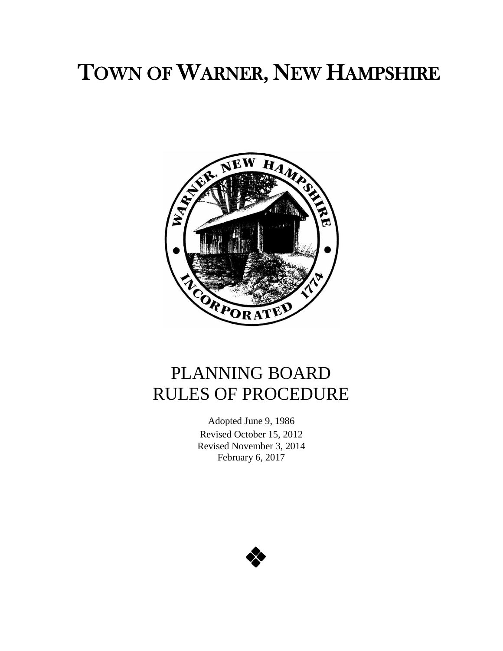# TOWN OF WARNER, NEW HAMPSHIRE



## PLANNING BOARD RULES OF PROCEDURE

Adopted June 9, 1986 Revised October 15, 2012 Revised November 3, 2014 February 6, 2017

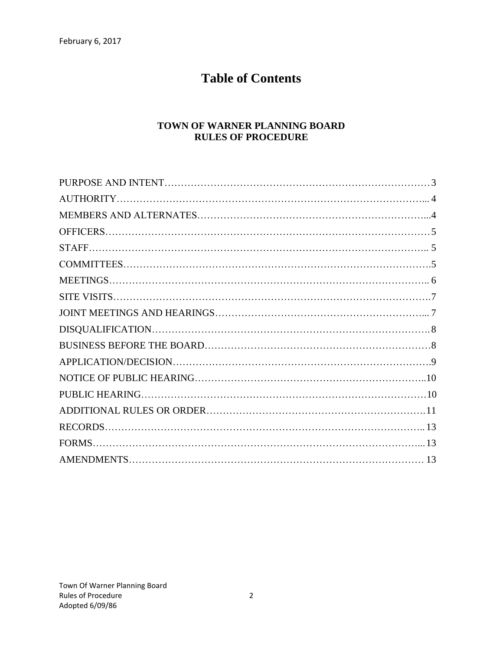## **Table of Contents**

#### **TOWN OF WARNER PLANNING BOARD RULES OF PROCEDURE**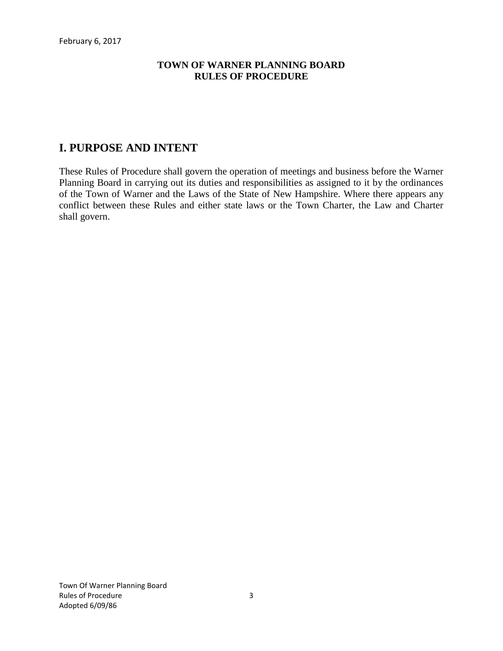#### **TOWN OF WARNER PLANNING BOARD RULES OF PROCEDURE**

## **I. PURPOSE AND INTENT**

These Rules of Procedure shall govern the operation of meetings and business before the Warner Planning Board in carrying out its duties and responsibilities as assigned to it by the ordinances of the Town of Warner and the Laws of the State of New Hampshire. Where there appears any conflict between these Rules and either state laws or the Town Charter, the Law and Charter shall govern.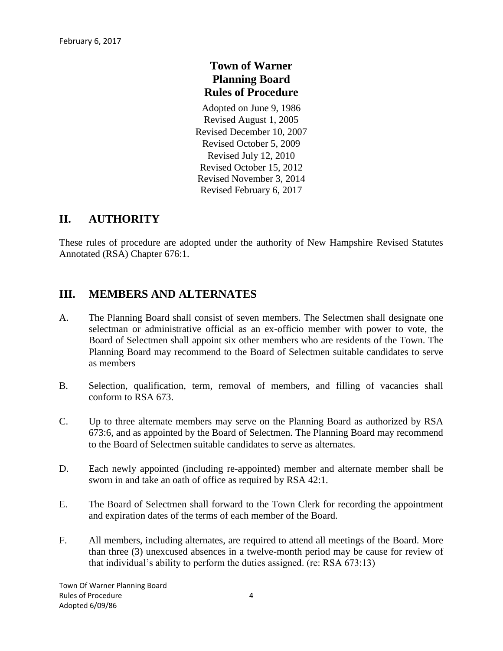## **Town of Warner Planning Board Rules of Procedure**

Adopted on June 9, 1986 Revised August 1, 2005 Revised December 10, 2007 Revised October 5, 2009 Revised July 12, 2010 Revised October 15, 2012 Revised November 3, 2014 Revised February 6, 2017

#### **II. AUTHORITY**

These rules of procedure are adopted under the authority of New Hampshire Revised Statutes Annotated (RSA) Chapter 676:1.

#### **III. MEMBERS AND ALTERNATES**

- A. The Planning Board shall consist of seven members. The Selectmen shall designate one selectman or administrative official as an ex-officio member with power to vote, the Board of Selectmen shall appoint six other members who are residents of the Town. The Planning Board may recommend to the Board of Selectmen suitable candidates to serve as members
- B. Selection, qualification, term, removal of members, and filling of vacancies shall conform to RSA 673.
- C. Up to three alternate members may serve on the Planning Board as authorized by RSA 673:6, and as appointed by the Board of Selectmen. The Planning Board may recommend to the Board of Selectmen suitable candidates to serve as alternates.
- D. Each newly appointed (including re-appointed) member and alternate member shall be sworn in and take an oath of office as required by RSA 42:1.
- E. The Board of Selectmen shall forward to the Town Clerk for recording the appointment and expiration dates of the terms of each member of the Board.
- F. All members, including alternates, are required to attend all meetings of the Board. More than three (3) unexcused absences in a twelve-month period may be cause for review of that individual's ability to perform the duties assigned. (re: RSA 673:13)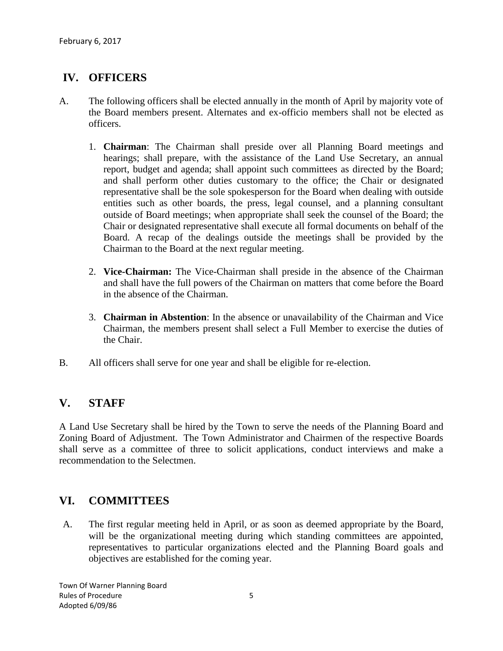## **IV. OFFICERS**

- A. The following officers shall be elected annually in the month of April by majority vote of the Board members present. Alternates and ex-officio members shall not be elected as officers.
	- 1. **Chairman**: The Chairman shall preside over all Planning Board meetings and hearings; shall prepare, with the assistance of the Land Use Secretary, an annual report, budget and agenda; shall appoint such committees as directed by the Board; and shall perform other duties customary to the office; the Chair or designated representative shall be the sole spokesperson for the Board when dealing with outside entities such as other boards, the press, legal counsel, and a planning consultant outside of Board meetings; when appropriate shall seek the counsel of the Board; the Chair or designated representative shall execute all formal documents on behalf of the Board. A recap of the dealings outside the meetings shall be provided by the Chairman to the Board at the next regular meeting.
	- 2. **Vice-Chairman:** The Vice-Chairman shall preside in the absence of the Chairman and shall have the full powers of the Chairman on matters that come before the Board in the absence of the Chairman.
	- 3. **Chairman in Abstention**: In the absence or unavailability of the Chairman and Vice Chairman, the members present shall select a Full Member to exercise the duties of the Chair.
- B. All officers shall serve for one year and shall be eligible for re-election.

#### **V. STAFF**

A Land Use Secretary shall be hired by the Town to serve the needs of the Planning Board and Zoning Board of Adjustment. The Town Administrator and Chairmen of the respective Boards shall serve as a committee of three to solicit applications, conduct interviews and make a recommendation to the Selectmen.

#### **VI. COMMITTEES**

A. The first regular meeting held in April, or as soon as deemed appropriate by the Board, will be the organizational meeting during which standing committees are appointed, representatives to particular organizations elected and the Planning Board goals and objectives are established for the coming year.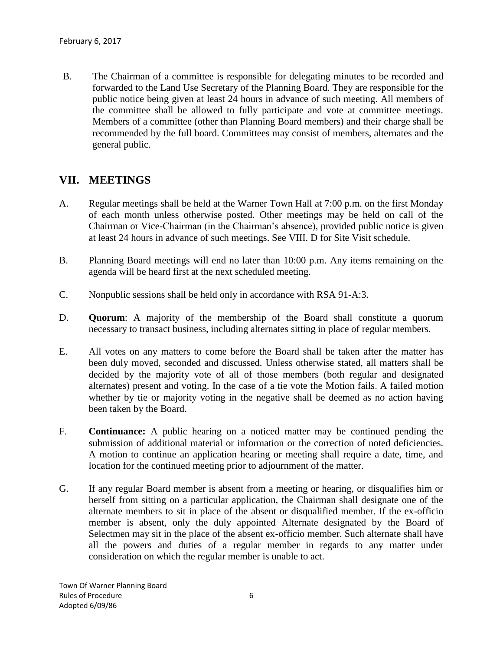B. The Chairman of a committee is responsible for delegating minutes to be recorded and forwarded to the Land Use Secretary of the Planning Board. They are responsible for the public notice being given at least 24 hours in advance of such meeting. All members of the committee shall be allowed to fully participate and vote at committee meetings. Members of a committee (other than Planning Board members) and their charge shall be recommended by the full board. Committees may consist of members, alternates and the general public.

## **VII. MEETINGS**

- A. Regular meetings shall be held at the Warner Town Hall at 7:00 p.m. on the first Monday of each month unless otherwise posted. Other meetings may be held on call of the Chairman or Vice-Chairman (in the Chairman's absence), provided public notice is given at least 24 hours in advance of such meetings. See VIII. D for Site Visit schedule.
- B. Planning Board meetings will end no later than 10:00 p.m. Any items remaining on the agenda will be heard first at the next scheduled meeting.
- C. Nonpublic sessions shall be held only in accordance with RSA 91-A:3.
- D. **Quorum**: A majority of the membership of the Board shall constitute a quorum necessary to transact business, including alternates sitting in place of regular members.
- E. All votes on any matters to come before the Board shall be taken after the matter has been duly moved, seconded and discussed. Unless otherwise stated, all matters shall be decided by the majority vote of all of those members (both regular and designated alternates) present and voting. In the case of a tie vote the Motion fails. A failed motion whether by tie or majority voting in the negative shall be deemed as no action having been taken by the Board.
- F. **Continuance:** A public hearing on a noticed matter may be continued pending the submission of additional material or information or the correction of noted deficiencies. A motion to continue an application hearing or meeting shall require a date, time, and location for the continued meeting prior to adjournment of the matter.
- G. If any regular Board member is absent from a meeting or hearing, or disqualifies him or herself from sitting on a particular application, the Chairman shall designate one of the alternate members to sit in place of the absent or disqualified member. If the ex-officio member is absent, only the duly appointed Alternate designated by the Board of Selectmen may sit in the place of the absent ex-officio member. Such alternate shall have all the powers and duties of a regular member in regards to any matter under consideration on which the regular member is unable to act.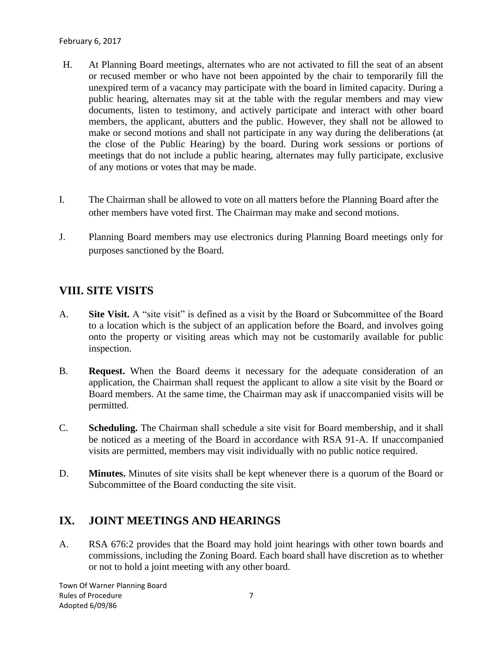- H. At Planning Board meetings, alternates who are not activated to fill the seat of an absent or recused member or who have not been appointed by the chair to temporarily fill the unexpired term of a vacancy may participate with the board in limited capacity. During a public hearing, alternates may sit at the table with the regular members and may view documents, listen to testimony, and actively participate and interact with other board members, the applicant, abutters and the public. However, they shall not be allowed to make or second motions and shall not participate in any way during the deliberations (at the close of the Public Hearing) by the board. During work sessions or portions of meetings that do not include a public hearing, alternates may fully participate, exclusive of any motions or votes that may be made.
- I. The Chairman shall be allowed to vote on all matters before the Planning Board after the other members have voted first. The Chairman may make and second motions.
- J. Planning Board members may use electronics during Planning Board meetings only for purposes sanctioned by the Board.

## **VIII. SITE VISITS**

- A. **Site Visit.** A "site visit" is defined as a visit by the Board or Subcommittee of the Board to a location which is the subject of an application before the Board, and involves going onto the property or visiting areas which may not be customarily available for public inspection.
- B. **Request.** When the Board deems it necessary for the adequate consideration of an application, the Chairman shall request the applicant to allow a site visit by the Board or Board members. At the same time, the Chairman may ask if unaccompanied visits will be permitted.
- C. **Scheduling.** The Chairman shall schedule a site visit for Board membership, and it shall be noticed as a meeting of the Board in accordance with RSA 91-A. If unaccompanied visits are permitted, members may visit individually with no public notice required.
- D. **Minutes.** Minutes of site visits shall be kept whenever there is a quorum of the Board or Subcommittee of the Board conducting the site visit.

#### **IX. JOINT MEETINGS AND HEARINGS**

A. RSA 676:2 provides that the Board may hold joint hearings with other town boards and commissions, including the Zoning Board. Each board shall have discretion as to whether or not to hold a joint meeting with any other board.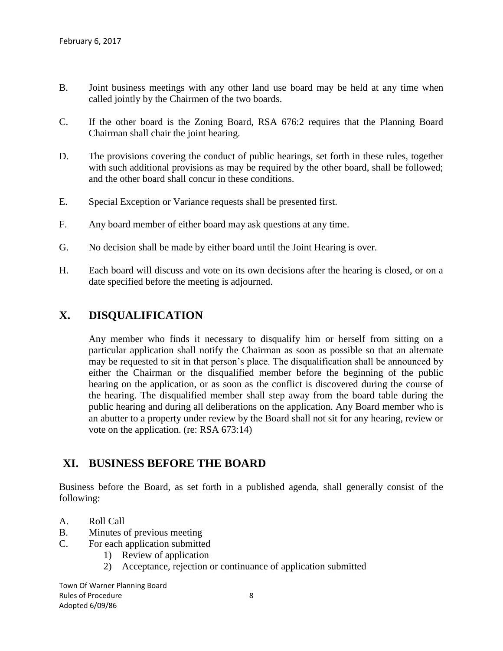- B. Joint business meetings with any other land use board may be held at any time when called jointly by the Chairmen of the two boards.
- C. If the other board is the Zoning Board, RSA 676:2 requires that the Planning Board Chairman shall chair the joint hearing.
- D. The provisions covering the conduct of public hearings, set forth in these rules, together with such additional provisions as may be required by the other board, shall be followed; and the other board shall concur in these conditions.
- E. Special Exception or Variance requests shall be presented first.
- F. Any board member of either board may ask questions at any time.
- G. No decision shall be made by either board until the Joint Hearing is over.
- H. Each board will discuss and vote on its own decisions after the hearing is closed, or on a date specified before the meeting is adjourned.

#### **X. DISQUALIFICATION**

Any member who finds it necessary to disqualify him or herself from sitting on a particular application shall notify the Chairman as soon as possible so that an alternate may be requested to sit in that person's place. The disqualification shall be announced by either the Chairman or the disqualified member before the beginning of the public hearing on the application, or as soon as the conflict is discovered during the course of the hearing. The disqualified member shall step away from the board table during the public hearing and during all deliberations on the application. Any Board member who is an abutter to a property under review by the Board shall not sit for any hearing, review or vote on the application. (re: RSA 673:14)

#### **XI. BUSINESS BEFORE THE BOARD**

Business before the Board, as set forth in a published agenda, shall generally consist of the following:

- A. Roll Call
- B. Minutes of previous meeting
- C. For each application submitted
	- 1) Review of application
	- 2) Acceptance, rejection or continuance of application submitted

Town Of Warner Planning Board Rules of Procedure 8 Adopted 6/09/86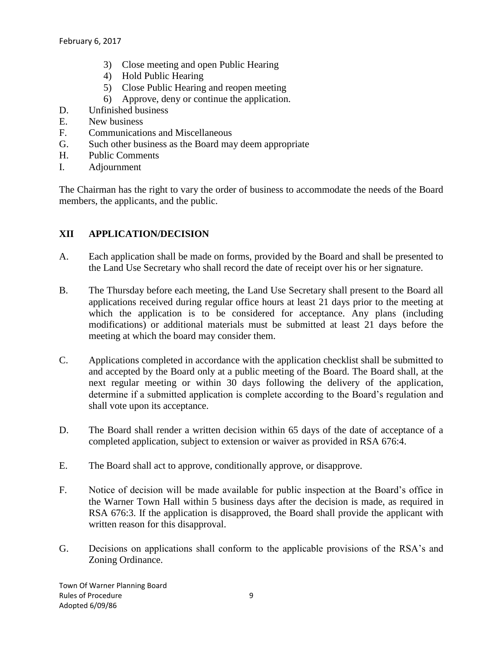- 3) Close meeting and open Public Hearing
- 4) Hold Public Hearing
- 5) Close Public Hearing and reopen meeting
- 6) Approve, deny or continue the application.
- D. Unfinished business
- E. New business
- F. Communications and Miscellaneous
- G. Such other business as the Board may deem appropriate
- H. Public Comments
- I. Adjournment

The Chairman has the right to vary the order of business to accommodate the needs of the Board members, the applicants, and the public.

#### **XII APPLICATION/DECISION**

- A. Each application shall be made on forms, provided by the Board and shall be presented to the Land Use Secretary who shall record the date of receipt over his or her signature.
- B. The Thursday before each meeting, the Land Use Secretary shall present to the Board all applications received during regular office hours at least 21 days prior to the meeting at which the application is to be considered for acceptance. Any plans (including modifications) or additional materials must be submitted at least 21 days before the meeting at which the board may consider them.
- C. Applications completed in accordance with the application checklist shall be submitted to and accepted by the Board only at a public meeting of the Board. The Board shall, at the next regular meeting or within 30 days following the delivery of the application, determine if a submitted application is complete according to the Board's regulation and shall vote upon its acceptance.
- D. The Board shall render a written decision within 65 days of the date of acceptance of a completed application, subject to extension or waiver as provided in RSA 676:4.
- E. The Board shall act to approve, conditionally approve, or disapprove.
- F. Notice of decision will be made available for public inspection at the Board's office in the Warner Town Hall within 5 business days after the decision is made, as required in RSA 676:3. If the application is disapproved, the Board shall provide the applicant with written reason for this disapproval.
- G. Decisions on applications shall conform to the applicable provisions of the RSA's and Zoning Ordinance.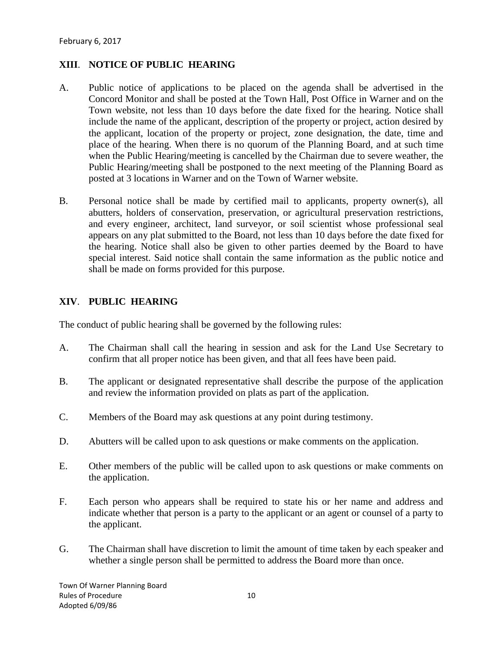#### **XIII**. **NOTICE OF PUBLIC HEARING**

- A. Public notice of applications to be placed on the agenda shall be advertised in the Concord Monitor and shall be posted at the Town Hall, Post Office in Warner and on the Town website, not less than 10 days before the date fixed for the hearing. Notice shall include the name of the applicant, description of the property or project, action desired by the applicant, location of the property or project, zone designation, the date, time and place of the hearing. When there is no quorum of the Planning Board, and at such time when the Public Hearing/meeting is cancelled by the Chairman due to severe weather, the Public Hearing/meeting shall be postponed to the next meeting of the Planning Board as posted at 3 locations in Warner and on the Town of Warner website.
- B. Personal notice shall be made by certified mail to applicants, property owner(s), all abutters, holders of conservation, preservation, or agricultural preservation restrictions, and every engineer, architect, land surveyor, or soil scientist whose professional seal appears on any plat submitted to the Board, not less than 10 days before the date fixed for the hearing. Notice shall also be given to other parties deemed by the Board to have special interest. Said notice shall contain the same information as the public notice and shall be made on forms provided for this purpose.

#### **XIV**. **PUBLIC HEARING**

The conduct of public hearing shall be governed by the following rules:

- A. The Chairman shall call the hearing in session and ask for the Land Use Secretary to confirm that all proper notice has been given, and that all fees have been paid.
- B. The applicant or designated representative shall describe the purpose of the application and review the information provided on plats as part of the application.
- C. Members of the Board may ask questions at any point during testimony.
- D. Abutters will be called upon to ask questions or make comments on the application.
- E. Other members of the public will be called upon to ask questions or make comments on the application.
- F. Each person who appears shall be required to state his or her name and address and indicate whether that person is a party to the applicant or an agent or counsel of a party to the applicant.
- G. The Chairman shall have discretion to limit the amount of time taken by each speaker and whether a single person shall be permitted to address the Board more than once.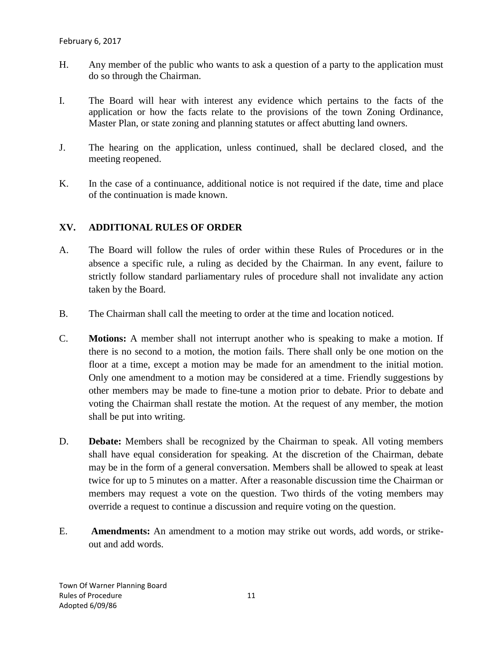- H. Any member of the public who wants to ask a question of a party to the application must do so through the Chairman.
- I. The Board will hear with interest any evidence which pertains to the facts of the application or how the facts relate to the provisions of the town Zoning Ordinance, Master Plan, or state zoning and planning statutes or affect abutting land owners.
- J. The hearing on the application, unless continued, shall be declared closed, and the meeting reopened.
- K. In the case of a continuance, additional notice is not required if the date, time and place of the continuation is made known.

#### **XV. ADDITIONAL RULES OF ORDER**

- A. The Board will follow the rules of order within these Rules of Procedures or in the absence a specific rule, a ruling as decided by the Chairman. In any event, failure to strictly follow standard parliamentary rules of procedure shall not invalidate any action taken by the Board.
- B. The Chairman shall call the meeting to order at the time and location noticed.
- C. **Motions:** A member shall not interrupt another who is speaking to make a motion. If there is no second to a motion, the motion fails. There shall only be one motion on the floor at a time, except a motion may be made for an amendment to the initial motion. Only one amendment to a motion may be considered at a time. Friendly suggestions by other members may be made to fine-tune a motion prior to debate. Prior to debate and voting the Chairman shall restate the motion. At the request of any member, the motion shall be put into writing.
- D. **Debate:** Members shall be recognized by the Chairman to speak. All voting members shall have equal consideration for speaking. At the discretion of the Chairman, debate may be in the form of a general conversation. Members shall be allowed to speak at least twice for up to 5 minutes on a matter. After a reasonable discussion time the Chairman or members may request a vote on the question. Two thirds of the voting members may override a request to continue a discussion and require voting on the question.
- E. **Amendments:** An amendment to a motion may strike out words, add words, or strikeout and add words.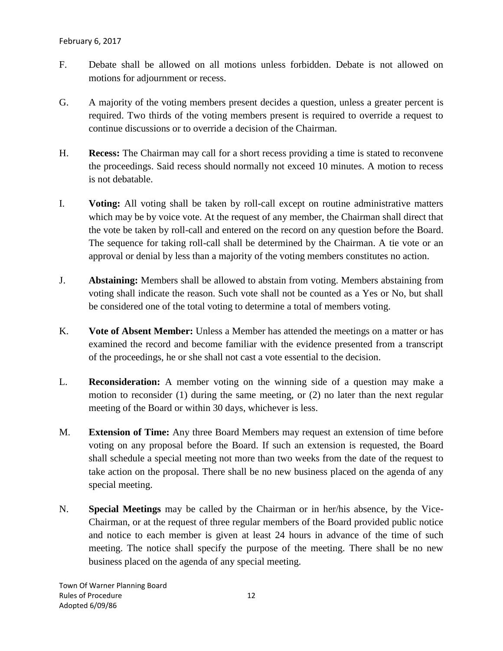- F. Debate shall be allowed on all motions unless forbidden. Debate is not allowed on motions for adjournment or recess.
- G. A majority of the voting members present decides a question, unless a greater percent is required. Two thirds of the voting members present is required to override a request to continue discussions or to override a decision of the Chairman.
- H. **Recess:** The Chairman may call for a short recess providing a time is stated to reconvene the proceedings. Said recess should normally not exceed 10 minutes. A motion to recess is not debatable.
- I. **Voting:** All voting shall be taken by roll-call except on routine administrative matters which may be by voice vote. At the request of any member, the Chairman shall direct that the vote be taken by roll-call and entered on the record on any question before the Board. The sequence for taking roll-call shall be determined by the Chairman. A tie vote or an approval or denial by less than a majority of the voting members constitutes no action.
- J. **Abstaining:** Members shall be allowed to abstain from voting. Members abstaining from voting shall indicate the reason. Such vote shall not be counted as a Yes or No, but shall be considered one of the total voting to determine a total of members voting.
- K. **Vote of Absent Member:** Unless a Member has attended the meetings on a matter or has examined the record and become familiar with the evidence presented from a transcript of the proceedings, he or she shall not cast a vote essential to the decision.
- L. **Reconsideration:** A member voting on the winning side of a question may make a motion to reconsider (1) during the same meeting, or (2) no later than the next regular meeting of the Board or within 30 days, whichever is less.
- M. **Extension of Time:** Any three Board Members may request an extension of time before voting on any proposal before the Board. If such an extension is requested, the Board shall schedule a special meeting not more than two weeks from the date of the request to take action on the proposal. There shall be no new business placed on the agenda of any special meeting.
- N. **Special Meetings** may be called by the Chairman or in her/his absence, by the Vice-Chairman, or at the request of three regular members of the Board provided public notice and notice to each member is given at least 24 hours in advance of the time of such meeting. The notice shall specify the purpose of the meeting. There shall be no new business placed on the agenda of any special meeting.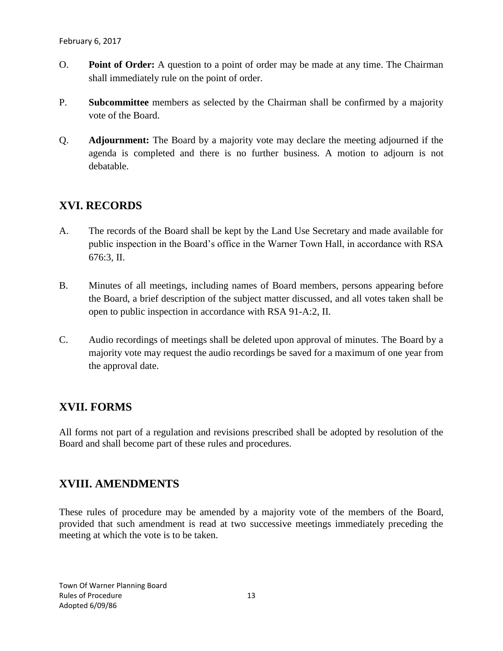- O. **Point of Order:** A question to a point of order may be made at any time. The Chairman shall immediately rule on the point of order.
- P. **Subcommittee** members as selected by the Chairman shall be confirmed by a majority vote of the Board.
- Q. **Adjournment:** The Board by a majority vote may declare the meeting adjourned if the agenda is completed and there is no further business. A motion to adjourn is not debatable.

## **XVI. RECORDS**

- A. The records of the Board shall be kept by the Land Use Secretary and made available for public inspection in the Board's office in the Warner Town Hall, in accordance with RSA 676:3, II.
- B. Minutes of all meetings, including names of Board members, persons appearing before the Board, a brief description of the subject matter discussed, and all votes taken shall be open to public inspection in accordance with RSA 91-A:2, II.
- C. Audio recordings of meetings shall be deleted upon approval of minutes. The Board by a majority vote may request the audio recordings be saved for a maximum of one year from the approval date.

## **XVII. FORMS**

All forms not part of a regulation and revisions prescribed shall be adopted by resolution of the Board and shall become part of these rules and procedures.

## **XVIII. AMENDMENTS**

These rules of procedure may be amended by a majority vote of the members of the Board, provided that such amendment is read at two successive meetings immediately preceding the meeting at which the vote is to be taken.